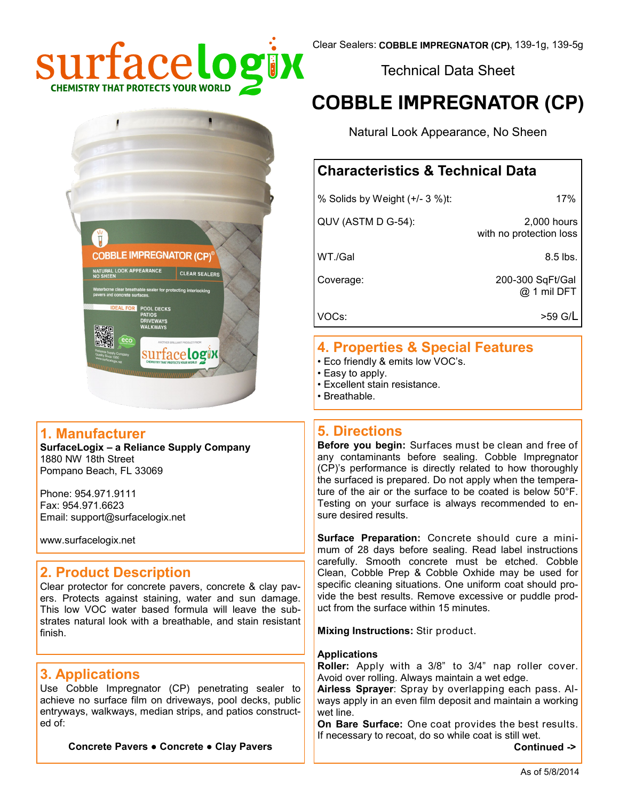

Technical Data Sheet

# **COBBLE IMPREGNATOR (CP)**

Natural Look Appearance, No Sheen

# **Characteristics & Technical Data**

| % Solids by Weight (+/- 3 %)t: | 17%                                    |  |
|--------------------------------|----------------------------------------|--|
| QUV (ASTM D G-54):             | 2,000 hours<br>with no protection loss |  |
| WT./Gal                        | $8.5$ lbs.                             |  |
| Coverage:                      | 200-300 SqFt/Gal<br>@ 1 mil DFT        |  |
| VOC <sub>s</sub> :             | >59 G/L                                |  |

### **4. Properties & Special Features**

- Eco friendly & emits low VOC's.
- Easy to apply.
- Excellent stain resistance.
- Breathable.

#### **5. Directions**

**Before you begin:** Surfaces must be clean and free of any contaminants before sealing. Cobble Impregnator (CP)'s performance is directly related to how thoroughly the surfaced is prepared. Do not apply when the temperature of the air or the surface to be coated is below 50°F. Testing on your surface is always recommended to ensure desired results.

**Surface Preparation:** Concrete should cure a minimum of 28 days before sealing. Read label instructions carefully. Smooth concrete must be etched. Cobble Clean, Cobble Prep & Cobble Oxhide may be used for specific cleaning situations. One uniform coat should provide the best results. Remove excessive or puddle product from the surface within 15 minutes.

**Mixing Instructions:** Stir product.

#### **Applications**

**Roller:** Apply with a 3/8" to 3/4" nap roller cover. Avoid over rolling. Always maintain a wet edge.

**Airless Sprayer**: Spray by overlapping each pass. Always apply in an even film deposit and maintain a working wet line.

**On Bare Surface:** One coat provides the best results. If necessary to recoat, do so while coat is still wet.

 **Continued ->**



#### **1. Manufacturer**

**SurfaceLogix – a Reliance Supply Company** 1880 NW 18th Street Pompano Beach, FL 33069

Phone: 954.971.9111 Fax: 954.971.6623 Email: support@surfacelogix.net

www.surfacelogix.net

# **2. Product Description**

Clear protector for concrete pavers, concrete & clay pavers. Protects against staining, water and sun damage. This low VOC water based formula will leave the substrates natural look with a breathable, and stain resistant finish.

# **3. Applications**

Use Cobble Impregnator (CP) penetrating sealer to achieve no surface film on driveways, pool decks, public entryways, walkways, median strips, and patios constructed of:

**Concrete Pavers ● Concrete ● Clay Pavers**